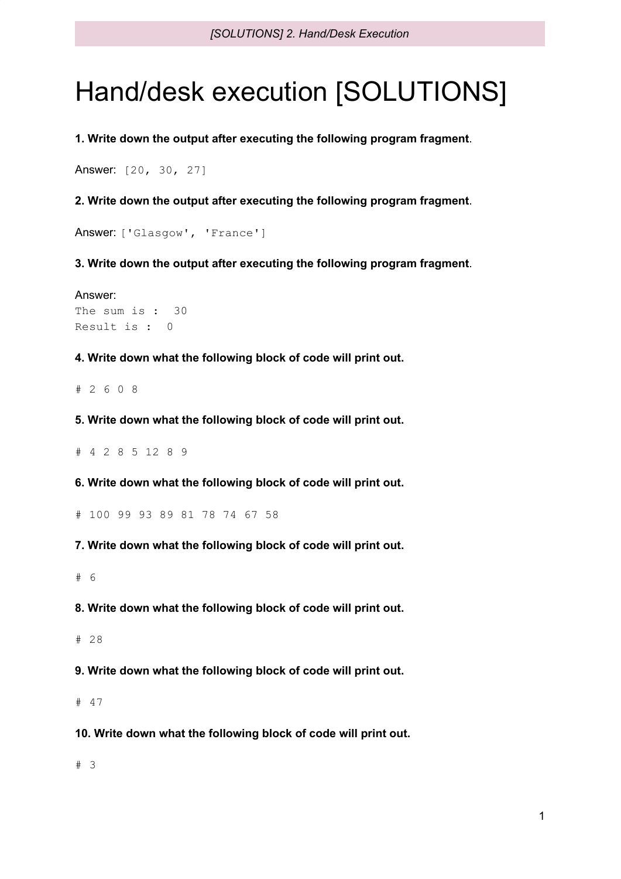## Hand/desk execution [SOLUTIONS]

**1. Write down the output after executing the following program fragment**.

```
Answer: [20, 30, 27]
```
**2. Write down the output after executing the following program fragment**.

Answer: ['Glasgow', 'France']

**3. Write down the output after executing the following program fragment**.

Answer: The sum is : 30 Result is : 0

**4. Write down what the following block of code will print out.**

# 2 6 0 8

**5. Write down what the following block of code will print out.**

# 4 2 8 5 12 8 9

**6. Write down what the following block of code will print out.**

# 100 99 93 89 81 78 74 67 58

**7. Write down what the following block of code will print out.**

# 6

**8. Write down what the following block of code will print out.**

# 28

**9. Write down what the following block of code will print out.**

# 47

**10. Write down what the following block of code will print out.**

# 3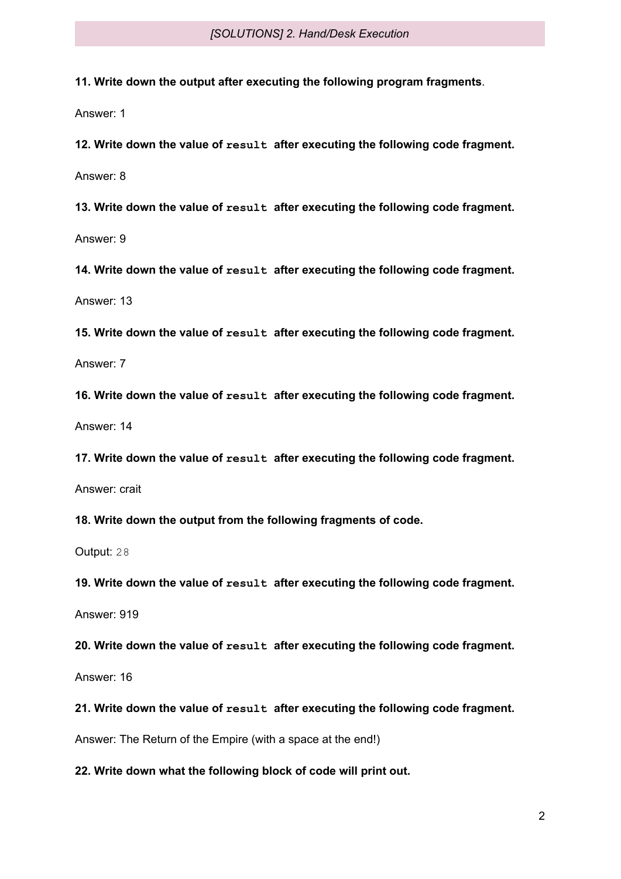**11. Write down the output after executing the following program fragments**.

Answer: 1

**12. Write down the value of result after executing the following code fragment.**

Answer: 8

**13. Write down the value of result after executing the following code fragment.**

Answer: 9

**14. Write down the value of result after executing the following code fragment.**

Answer: 13

**15. Write down the value of result after executing the following code fragment.**

Answer: 7

**16. Write down the value of result after executing the following code fragment.**

Answer: 14

**17. Write down the value of result after executing the following code fragment.**

Answer: crait

**18. Write down the output from the following fragments of code.**

Output: 28

**19. Write down the value of result after executing the following code fragment.**

Answer: 919

**20. Write down the value of result after executing the following code fragment.**

Answer: 16

**21. Write down the value of result after executing the following code fragment.**

Answer: The Return of the Empire (with a space at the end!)

**22. Write down what the following block of code will print out.**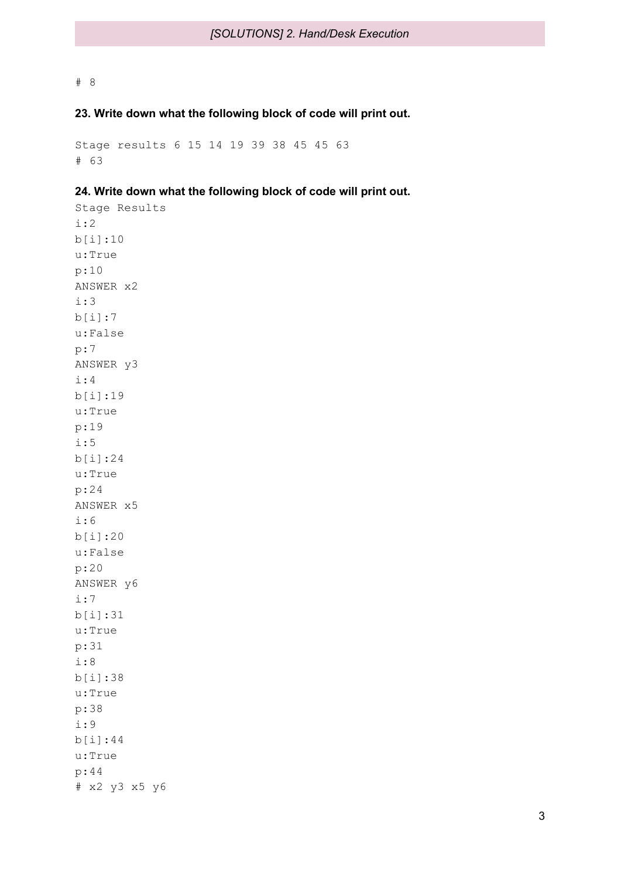## # 8

## **23. Write down what the following block of code will print out.**

Stage results 6 15 14 19 39 38 45 45 63 # 63

## **24. Write down what the following block of code will print out.**

Stage Results i:2 b[i]:10 u:True p:10 ANSWER x2 i:3 b[i]:7 u:False p:7 ANSWER y3 i:4 b[i]:19 u:True p:19 i:5 b[i]:24 u:True p:24 ANSWER x5 i:6 b[i]:20 u:False p:20 ANSWER y6 i:7 b[i]:31 u:True p:31 i:8 b[i]:38 u:True p:38 i:9 b[i]:44 u:True p:44 # x2 y3 x5 y6